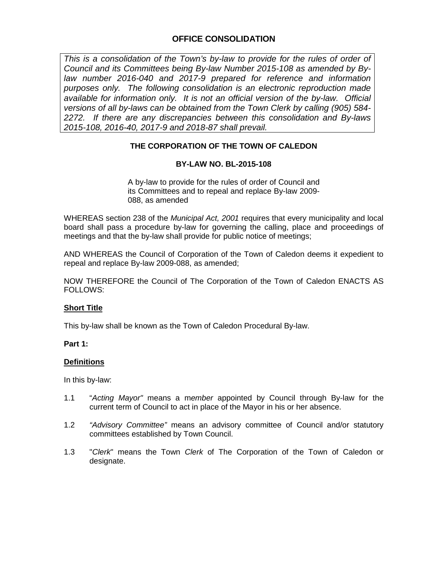# **OFFICE CONSOLIDATION**

This is a consolidation of the Town's by-law to provide for the rules of order of *Council and its Committees being By-law Number 2015-108 as amended by Bylaw number 2016-040 and 2017-9 prepared for reference and information purposes only. The following consolidation is an electronic reproduction made available for information only. It is not an official version of the by-law. Official versions of all by-laws can be obtained from the Town Clerk by calling (905) 584- 2272. If there are any discrepancies between this consolidation and By-laws 2015-108, 2016-40, 2017-9 and 2018-87 shall prevail.*

## **THE CORPORATION OF THE TOWN OF CALEDON**

## **BY-LAW NO. BL-2015-108**

A by-law to provide for the rules of order of Council and its Committees and to repeal and replace By-law 2009- 088, as amended

WHEREAS section 238 of the *Municipal Act, 2001* requires that every municipality and local board shall pass a procedure by-law for governing the calling, place and proceedings of meetings and that the by-law shall provide for public notice of meetings;

AND WHEREAS the Council of Corporation of the Town of Caledon deems it expedient to repeal and replace By-law 2009-088, as amended;

NOW THEREFORE the Council of The Corporation of the Town of Caledon ENACTS AS FOLLOWS:

## **Short Title**

This by-law shall be known as the Town of Caledon Procedural By-law.

#### **Part 1:**

#### **Definitions**

In this by-law:

- 1.1 "*Acting Mayor"* means a m*ember* appointed by Council through By-law for the current term of Council to act in place of the Mayor in his or her absence.
- 1.2 *"Advisory Committee"* means an advisory committee of Council and/or statutory committees established by Town Council.
- 1.3 "*Clerk*" means the Town *Clerk* of The Corporation of the Town of Caledon or designate.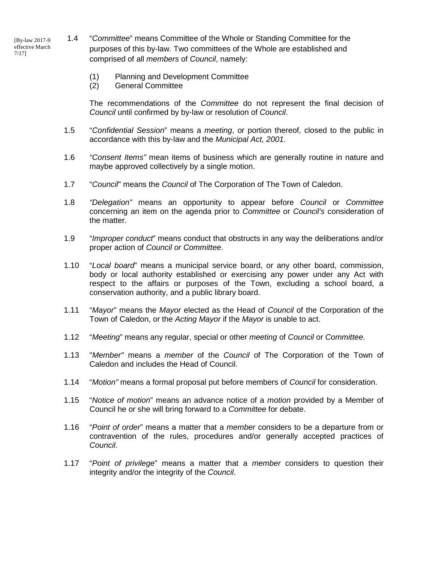[By-law 2017-9 effective March 7/17]

1.4 "*Committee*" means Committee of the Whole or Standing Committee for the purposes of this by-law. Two committees of the Whole are established and comprised of all *members* of *Council*, namely:

- (1) Planning and Development Committee
- (2) General Committee

The recommendations of the *Committee* do not represent the final decision of *Council* until confirmed by by-law or resolution of *Council*.

- 1.5 "*Confidential Session*" means a *meeting*, or portion thereof, closed to the public in accordance with this by-law and the *Municipal Act, 2001*.
- 1.6 *"Consent Items"* mean items of business which are generally routine in nature and maybe approved collectively by a single motion.
- 1.7 "*Council*" means the *Council* of The Corporation of The Town of Caledon.
- 1.8 *"Delegation"* means an opportunity to appear before *Council* or *Committee*  concerning an item on the agenda prior to *Committee* or *Council's* consideration of the matter.
- 1.9 "*Improper conduct*" means conduct that obstructs in any way the deliberations and/or proper action of *Council or Committee*.
- 1.10 "*Local board*" means a municipal service board, or any other board, commission, body or local authority established or exercising any power under any Act with respect to the affairs or purposes of the Town, excluding a school board, a conservation authority, and a public library board.
- 1.11 "*Mayor*" means the *Mayor* elected as the Head of *Council* of the Corporation of the Town of Caledon, or the *Acting Mayor* if the *Mayor* is unable to act.
- 1.12 "*Meeting*" means any regular, special or other *meeting* of *Council* or *Committee*.
- 1.13 "*Member"* means a *member* of the *Council* of The Corporation of the Town of Caledon and includes the Head of Council.
- 1.14 "*Motion"* means a formal proposal put before members of *Council* for consideration.
- 1.15 "*Notice of motion*" means an advance notice of a *motion* provided by a Member of Council he or she will bring forward to a *Committee* for debate.
- 1.16 "*Point of order*" means a matter that a *member* considers to be a departure from or contravention of the rules, procedures and/or generally accepted practices of *Council*.
- 1.17 "*Point of privilege*" means a matter that a *member* considers to question their integrity and/or the integrity of the *Council*.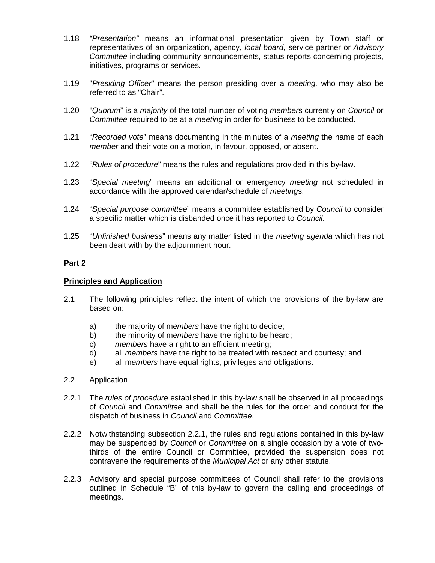- 1.18 *"Presentation"* means an informational presentation given by Town staff or representatives of an organization, agency*, local board*, service partner or *Advisory Committee* including community announcements, status reports concerning projects, initiatives, programs or services.
- 1.19 "*Presiding Officer*" means the person presiding over a *meeting,* who may also be referred to as "Chair".
- 1.20 "*Quorum*" is a *majority* of the total number of voting *member*s currently on *Council* or *Committee* required to be at a *meeting* in order for business to be conducted.
- 1.21 "*Recorded vote*" means documenting in the minutes of a *meeting* the name of each *member* and their vote on a motion, in favour, opposed, or absent.
- 1.22 "*Rules of procedure*" means the rules and regulations provided in this by-law.
- 1.23 "*Special meeting*" means an additional or emergency *meeting* not scheduled in accordance with the approved calendar/schedule of *meeting*s.
- 1.24 "*Special purpose committee*" means a committee established by *Council* to consider a specific matter which is disbanded once it has reported to *Council*.
- 1.25 "*Unfinished business*" means any matter listed in the *meeting agenda* which has not been dealt with by the adjournment hour.

### **Principles and Application**

- 2.1 The following principles reflect the intent of which the provisions of the by-law are based on:
	- a) the majority of m*embers* have the right to decide;
	- b) the minority of m*embers* have the right to be heard;
	- c) *members* have a right to an efficient meeting;
	- d) all *members* have the right to be treated with respect and courtesy; and
	- e) all m*embers* have equal rights, privileges and obligations.
- 2.2 Application
- 2.2.1 The *rules of procedure* established in this by-law shall be observed in all proceedings of *Council* and *Committee* and shall be the rules for the order and conduct for the dispatch of business in *Council* and *Committee*.
- 2.2.2 Notwithstanding subsection 2.2.1, the rules and regulations contained in this by-law may be suspended by *Council* or *Committee* on a single occasion by a vote of twothirds of the entire Council or Committee, provided the suspension does not contravene the requirements of the *Municipal Act* or any other statute.
- 2.2.3 Advisory and special purpose committees of Council shall refer to the provisions outlined in Schedule "B" of this by-law to govern the calling and proceedings of meetings.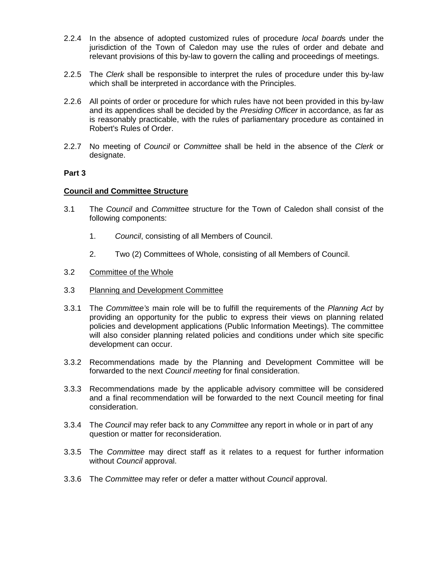- 2.2.4 In the absence of adopted customized rules of procedure *local board*s under the jurisdiction of the Town of Caledon may use the rules of order and debate and relevant provisions of this by-law to govern the calling and proceedings of meetings.
- 2.2.5 The *Clerk* shall be responsible to interpret the rules of procedure under this by-law which shall be interpreted in accordance with the Principles.
- 2.2.6 All points of order or procedure for which rules have not been provided in this by-law and its appendices shall be decided by the *Presiding Officer* in accordance, as far as is reasonably practicable, with the rules of parliamentary procedure as contained in Robert's Rules of Order.
- 2.2.7 No meeting of *Council* or *Committee* shall be held in the absence of the *Clerk* or designate.

#### **Council and Committee Structure**

- 3.1 The *Council* and *Committee* structure for the Town of Caledon shall consist of the following components:
	- 1. *Council*, consisting of all Members of Council.
	- 2. Two (2) Committees of Whole, consisting of all Members of Council.
- 3.2 Committee of the Whole
- 3.3 Planning and Development Committee
- 3.3.1 The *Committee's* main role will be to fulfill the requirements of the *Planning Act* by providing an opportunity for the public to express their views on planning related policies and development applications (Public Information Meetings). The committee will also consider planning related policies and conditions under which site specific development can occur.
- 3.3.2 Recommendations made by the Planning and Development Committee will be forwarded to the next *Council meeting* for final consideration.
- 3.3.3 Recommendations made by the applicable advisory committee will be considered and a final recommendation will be forwarded to the next Council meeting for final consideration.
- 3.3.4 The *Council* may refer back to any *Committee* any report in whole or in part of any question or matter for reconsideration.
- 3.3.5 The *Committee* may direct staff as it relates to a request for further information without *Council* approval.
- 3.3.6 The *Committee* may refer or defer a matter without *Council* approval.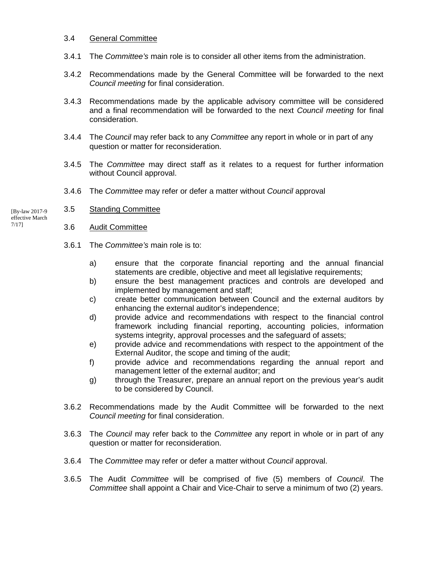#### 3.4 General Committee

- 3.4.1 The *Committee's* main role is to consider all other items from the administration.
- 3.4.2 Recommendations made by the General Committee will be forwarded to the next *Council meeting* for final consideration.
- 3.4.3 Recommendations made by the applicable advisory committee will be considered and a final recommendation will be forwarded to the next *Council meeting* for final consideration.
- 3.4.4 The *Council* may refer back to any *Committee* any report in whole or in part of any question or matter for reconsideration.
- 3.4.5 The *Committee* may direct staff as it relates to a request for further information without Council approval.
- 3.4.6 The *Committee* may refer or defer a matter without *Council* approval
- 3.5 Standing Committee [By-law 2017-9
- effective March 7/17]
	- 3.6 Audit Committee
	- 3.6.1 The *Committee's* main role is to:
		- a) ensure that the corporate financial reporting and the annual financial statements are credible, objective and meet all legislative requirements;
		- b) ensure the best management practices and controls are developed and implemented by management and staff;
		- c) create better communication between Council and the external auditors by enhancing the external auditor's independence;
		- d) provide advice and recommendations with respect to the financial control framework including financial reporting, accounting policies, information systems integrity, approval processes and the safeguard of assets;
		- e) provide advice and recommendations with respect to the appointment of the External Auditor, the scope and timing of the audit;
		- f) provide advice and recommendations regarding the annual report and management letter of the external auditor; and
		- g) through the Treasurer, prepare an annual report on the previous year's audit to be considered by Council.
	- 3.6.2 Recommendations made by the Audit Committee will be forwarded to the next *Council meeting* for final consideration.
	- 3.6.3 The *Council* may refer back to the *Committee* any report in whole or in part of any question or matter for reconsideration.
	- 3.6.4 The *Committee* may refer or defer a matter without *Council* approval.
	- 3.6.5 The Audit *Committee* will be comprised of five (5) members of *Council*. The *Committee* shall appoint a Chair and Vice-Chair to serve a minimum of two (2) years.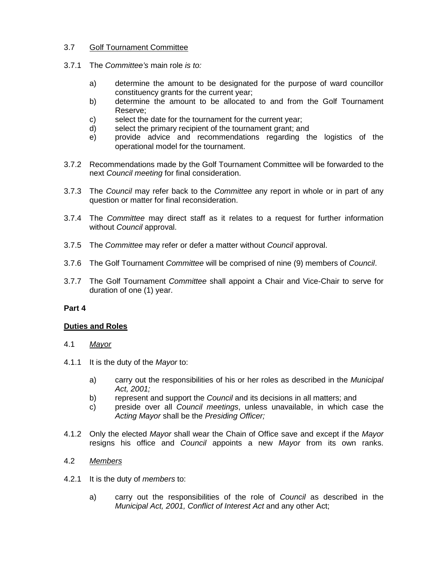## 3.7 Golf Tournament Committee

- 3.7.1 The *Committee's* main role *is to:* 
	- a) determine the amount to be designated for the purpose of ward councillor constituency grants for the current year;
	- b) determine the amount to be allocated to and from the Golf Tournament Reserve;
	- c) select the date for the tournament for the current year;
	- d) select the primary recipient of the tournament grant; and
	- e) provide advice and recommendations regarding the logistics of the operational model for the tournament.
- 3.7.2 Recommendations made by the Golf Tournament Committee will be forwarded to the next *Council meeting* for final consideration.
- 3.7.3 The *Council* may refer back to the *Committee* any report in whole or in part of any question or matter for final reconsideration.
- 3.7.4 The *Committee* may direct staff as it relates to a request for further information without *Council* approval.
- 3.7.5 The *Committee* may refer or defer a matter without *Council* approval.
- 3.7.6 The Golf Tournament *Committee* will be comprised of nine (9) members of *Council*.
- 3.7.7 The Golf Tournament *Committee* shall appoint a Chair and Vice-Chair to serve for duration of one (1) year.

#### **Part 4**

#### **Duties and Roles**

- 4.1 *Mayor*
- 4.1.1 It is the duty of the *Mayor* to:
	- a) carry out the responsibilities of his or her roles as described in the *Municipal Act, 2001;*
	- b) represent and support the *Council* and its decisions in all matters; and
	- c) preside over all *Council meetings*, unless unavailable, in which case the *Acting Mayor* shall be the *Presiding Officer;*
- 4.1.2 Only the elected *Mayor* shall wear the Chain of Office save and except if the *Mayor* resigns his office and *Council* appoints a new *Mayor* from its own ranks.

## 4.2 *Members*

- 4.2.1 It is the duty of *members* to:
	- a) carry out the responsibilities of the role of *Council* as described in the *Municipal Act, 2001, Conflict of Interest Act* and any other Act;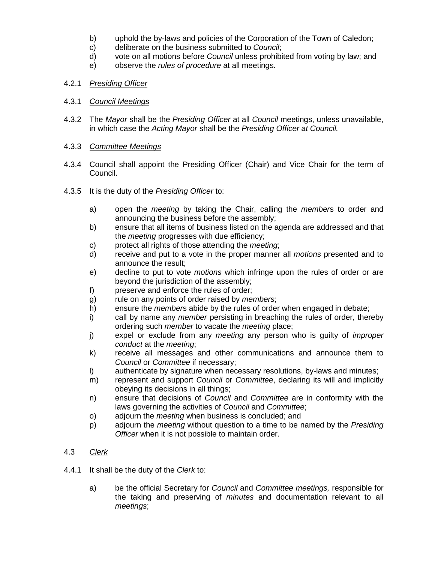- b) uphold the by-laws and policies of the Corporation of the Town of Caledon;
- c) deliberate on the business submitted to *Council*;
- d) vote on all motions before *Council* unless prohibited from voting by law; and
- e) observe the *rules of procedure* at all meetings.

## 4.2.1 *Presiding Officer*

## 4.3.1 *Council Meetings*

4.3.2 The *Mayor* shall be the *Presiding Officer* at all *Council* meetings, unless unavailable, in which case the *Acting Mayor* shall be the *Presiding Officer at Council.* 

## 4.3.3 *Committee Meetings*

- 4.3.4 Council shall appoint the Presiding Officer (Chair) and Vice Chair for the term of Council.
- 4.3.5 It is the duty of the *Presiding Officer* to:
	- a) open the *meeting* by taking the Chair, calling the *member*s to order and announcing the business before the assembly;
	- b) ensure that all items of business listed on the agenda are addressed and that the *meeting* progresses with due efficiency;
	- c) protect all rights of those attending the *meeting*;
	- d) receive and put to a vote in the proper manner all *motions* presented and to announce the result;
	- e) decline to put to vote *motions* which infringe upon the rules of order or are beyond the jurisdiction of the assembly;
	- f) preserve and enforce the rules of order;
	- g) rule on any points of order raised by *members*;
	- h) ensure the *member*s abide by the rules of order when engaged in debate;
	- i) call by name any *member* persisting in breaching the rules of order, thereby ordering such *member* to vacate the *meeting* place;
	- j) expel or exclude from any *meeting* any person who is guilty of *improper conduct* at the *meeting*;
	- k) receive all messages and other communications and announce them to *Council* or *Committee* if necessary;
	- l) authenticate by signature when necessary resolutions, by-laws and minutes;
	- m) represent and support *Council* or *Committee*, declaring its will and implicitly obeying its decisions in all things;
	- n) ensure that decisions of *Council* and *Committee* are in conformity with the laws governing the activities of *Council* and *Committee*;
	- o) adjourn the *meeting* when business is concluded; and
	- p) adjourn the *meeting* without question to a time to be named by the *Presiding Officer* when it is not possible to maintain order.

## 4.3 *Clerk*

- 4.4.1 It shall be the duty of the *Clerk* to:
	- a) be the official Secretary for *Council* and *Committee meetings,* responsible for the taking and preserving of *minutes* and documentation relevant to all *meetings*;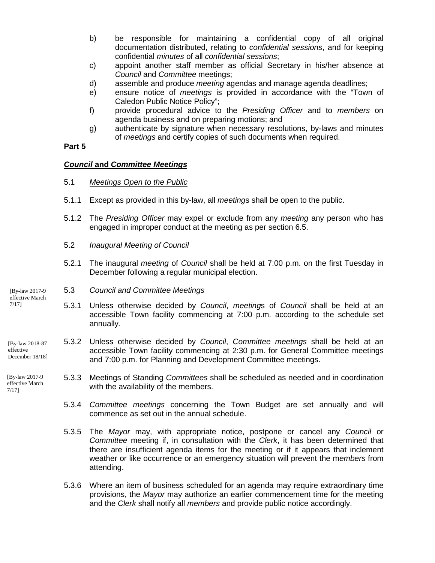- b) be responsible for maintaining a confidential copy of all original documentation distributed, relating to *confidential sessions*, and for keeping confidential *minutes* of all *confidential sessions*;
- c) appoint another staff member as official Secretary in his/her absence at *Council* and *Committee* meetings;
- d) assemble and produce *meeting* agendas and manage agenda deadlines;
- e) ensure notice of *meetings* is provided in accordance with the "Town of Caledon Public Notice Policy";
- f) provide procedural advice to the *Presiding Officer* and to *members* on agenda business and on preparing motions; and
- g) authenticate by signature when necessary resolutions, by-laws and minutes of *meetings* and certify copies of such documents when required.

## *Council* **and** *Committee Meetings*

- 5.1 *Meetings Open to the Public*
- 5.1.1 Except as provided in this by-law, all *meeting*s shall be open to the public.
- 5.1.2 The *Presiding Officer* may expel or exclude from any *meeting* any person who has engaged in improper conduct at the meeting as per section 6.5.
- 5.2 *Inaugural Meeting of Council*
- 5.2.1 The inaugural *meeting* of *Council* shall be held at 7:00 p.m. on the first Tuesday in December following a regular municipal election.

#### 5.3 *Council and Committee Meetings*

- 5.3.1 Unless otherwise decided by *Council*, *meeting*s of *Council* shall be held at an accessible Town facility commencing at 7:00 p.m. according to the schedule set annually*.*
- 5.3.2 Unless otherwise decided by *Council*, *Committee meetings* shall be held at an accessible Town facility commencing at 2:30 p.m. for General Committee meetings and 7:00 p.m. for Planning and Development Committee meetings.
- 5.3.3 Meetings of Standing *Committees* shall be scheduled as needed and in coordination with the availability of the members.
	- 5.3.4 *Committee meetings* concerning the Town Budget are set annually and will commence as set out in the annual schedule.
	- 5.3.5 The *Mayor* may, with appropriate notice, postpone or cancel any *Council* or *Committee* meeting if, in consultation with the *Clerk*, it has been determined that there are insufficient agenda items for the meeting or if it appears that inclement weather or like occurrence or an emergency situation will prevent the m*embers* from attending.
	- 5.3.6 Where an item of business scheduled for an agenda may require extraordinary time provisions, the *Mayor* may authorize an earlier commencement time for the meeting and the *Clerk* shall notify all *members* and provide public notice accordingly.

[By-law 2017-9 effective March 7/17]

[By-law 2018-87 effective December 18/18]

[By-law 2017-9 effective March 7/17]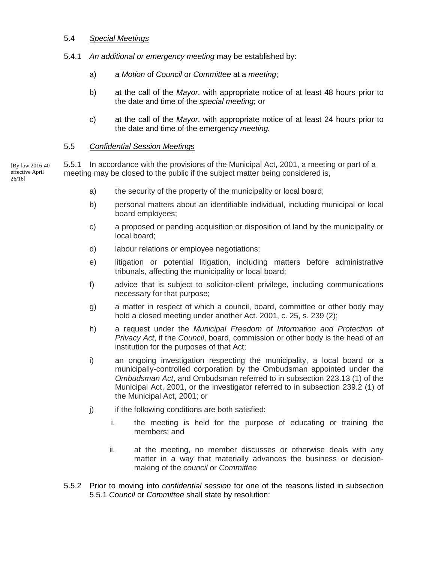### 5.4 *Special Meetings*

- 5.4.1 *An additional or emergency meeting* may be established by:
	- a) a *Motion* of *Council* or *Committee* at a *meeting*;
	- b) at the call of the *Mayor*, with appropriate notice of at least 48 hours prior to the date and time of the *special meeting*; or
	- c) at the call of the *Mayor*, with appropriate notice of at least 24 hours prior to the date and time of the emergency *meeting.*

## 5.5 *Confidential Session Meeting*s

5.5.1 In accordance with the provisions of the Municipal Act, 2001, a meeting or part of a meeting may be closed to the public if the subject matter being considered is,

- a) the security of the property of the municipality or local board;
- b) personal matters about an identifiable individual, including municipal or local board employees;
- c) a proposed or pending acquisition or disposition of land by the municipality or local board;
- d) labour relations or employee negotiations;
- e) litigation or potential litigation, including matters before administrative tribunals, affecting the municipality or local board;
- f) advice that is subject to solicitor-client privilege, including communications necessary for that purpose;
- g) a matter in respect of which a council, board, committee or other body may hold a closed meeting under another Act. 2001, c. 25, s. 239 (2);
- h) a request under the *Municipal Freedom of Information and Protection of Privacy Act*, if the *Council*, board, commission or other body is the head of an institution for the purposes of that Act;
- i) an ongoing investigation respecting the municipality, a local board or a municipally-controlled corporation by the Ombudsman appointed under the *Ombudsman Act*, and Ombudsman referred to in subsection 223.13 (1) of the Municipal Act, 2001, or the investigator referred to in subsection 239.2 (1) of the Municipal Act, 2001; or
- j) if the following conditions are both satisfied:
	- i. the meeting is held for the purpose of educating or training the members; and
	- ii. at the meeting, no member discusses or otherwise deals with any matter in a way that materially advances the business or decisionmaking of the *council* or *Committee*
- 5.5.2 Prior to moving into *confidential session* for one of the reasons listed in subsection 5.5.1 *Council* or *Committee* shall state by resolution:

[By-law 2016-40 effective April 26/16]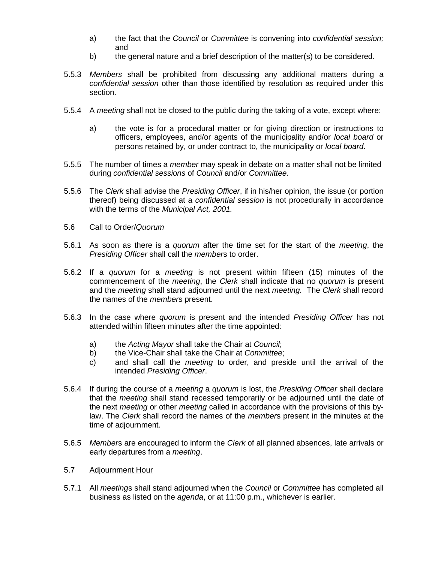- a) the fact that the *Council* or *Committee* is convening into *confidential session;* and
- b) the general nature and a brief description of the matter(s) to be considered.
- 5.5.3 *Members* shall be prohibited from discussing any additional matters during a *confidential session* other than those identified by resolution as required under this section.
- 5.5.4 A *meeting* shall not be closed to the public during the taking of a vote, except where:
	- a) the vote is for a procedural matter or for giving direction or instructions to officers, employees, and/or agents of the municipality and/or *local board* or persons retained by, or under contract to, the municipality or *local board*.
- 5.5.5 The number of times a *member* may speak in debate on a matter shall not be limited during *confidential sessions* of *Council* and/or *Committee*.
- 5.5.6 The *Clerk* shall advise the *Presiding Officer*, if in his/her opinion, the issue (or portion thereof) being discussed at a *confidential session* is not procedurally in accordance with the terms of the *Municipal Act, 2001.*
- 5.6 Call to Order/*Quorum*
- 5.6.1 As soon as there is a *quorum* after the time set for the start of the *meeting*, the *Presiding Officer* shall call the *member*s to order.
- 5.6.2 If a *quorum* for a *meeting* is not present within fifteen (15) minutes of the commencement of the *meeting*, the *Clerk* shall indicate that no *quorum* is present and the *meeting* shall stand adjourned until the next *meeting.* The *Clerk* shall record the names of the *member*s present.
- 5.6.3 In the case where *quorum* is present and the intended *Presiding Officer* has not attended within fifteen minutes after the time appointed:
	- a) the *Acting Mayor* shall take the Chair at *Council*;
	- b) the Vice-Chair shall take the Chair at *Committee*;
	- c) and shall call the *meeting* to order, and preside until the arrival of the intended *Presiding Officer*.
- 5.6.4 If during the course of a *meeting* a *quorum* is lost, the *Presiding Officer* shall declare that the *meeting* shall stand recessed temporarily or be adjourned until the date of the next *meeting* or other *meeting* called in accordance with the provisions of this bylaw. The *Clerk* shall record the names of the *member*s present in the minutes at the time of adjournment.
- 5.6.5 *Member*s are encouraged to inform the *Clerk* of all planned absences, late arrivals or early departures from a *meeting*.
- 5.7 Adjournment Hour
- 5.7.1 All *meeting*s shall stand adjourned when the *Council* or *Committee* has completed all business as listed on the *agenda*, or at 11:00 p.m., whichever is earlier.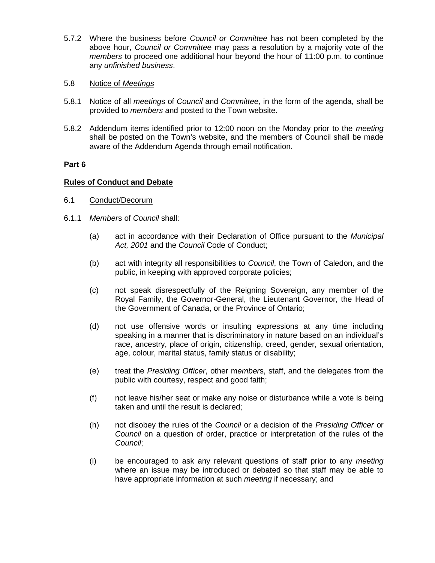- 5.7.2 Where the business before *Council or Committee* has not been completed by the above hour, *Council or Committee* may pass a resolution by a majority vote of the *members* to proceed one additional hour beyond the hour of 11:00 p.m. to continue any *unfinished business*.
- 5.8 Notice of *Meetings*
- 5.8.1 Notice of all *meeting*s of *Council* and *Committee,* in the form of the agenda, shall be provided to *members* and posted to the Town website.
- 5.8.2 Addendum items identified prior to 12:00 noon on the Monday prior to the *meeting* shall be posted on the Town's website, and the members of Council shall be made aware of the Addendum Agenda through email notification.

## **Rules of Conduct and Debate**

- 6.1 Conduct/Decorum
- 6.1.1 *Member*s of *Council* shall:
	- (a) act in accordance with their Declaration of Office pursuant to the *Municipal Act, 2001* and the *Council* Code of Conduct;
	- (b) act with integrity all responsibilities to *Council*, the Town of Caledon, and the public, in keeping with approved corporate policies;
	- (c) not speak disrespectfully of the Reigning Sovereign, any member of the Royal Family, the Governor-General, the Lieutenant Governor, the Head of the Government of Canada, or the Province of Ontario;
	- (d) not use offensive words or insulting expressions at any time including speaking in a manner that is discriminatory in nature based on an individual's race, ancestry, place of origin, citizenship, creed, gender, sexual orientation, age, colour, marital status, family status or disability;
	- (e) treat the *Presiding Officer*, other m*ember*s, staff, and the delegates from the public with courtesy, respect and good faith;
	- (f) not leave his/her seat or make any noise or disturbance while a vote is being taken and until the result is declared;
	- (h) not disobey the rules of the *Council* or a decision of the *Presiding Officer* or *Council* on a question of order, practice or interpretation of the rules of the *Council*;
	- (i) be encouraged to ask any relevant questions of staff prior to any *meeting* where an issue may be introduced or debated so that staff may be able to have appropriate information at such *meeting* if necessary; and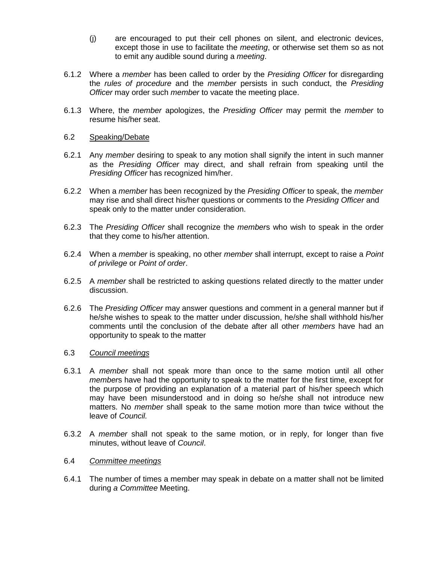- (j) are encouraged to put their cell phones on silent, and electronic devices, except those in use to facilitate the *meeting*, or otherwise set them so as not to emit any audible sound during a *meeting*.
- 6.1.2 Where a *member* has been called to order by the *Presiding Officer* for disregarding the *rules of procedure* and the *member* persists in such conduct, the *Presiding Officer* may order such *member* to vacate the meeting place.
- 6.1.3 Where, the *member* apologizes, the *Presiding Officer* may permit the *member* to resume his/her seat.

#### 6.2 Speaking/Debate

- 6.2.1 Any *member* desiring to speak to any motion shall signify the intent in such manner as the *Presiding Officer* may direct, and shall refrain from speaking until the *Presiding Officer* has recognized him/her.
- 6.2.2 When a *member* has been recognized by the *Presiding Officer* to speak, the *member* may rise and shall direct his/her questions or comments to the *Presiding Officer* and speak only to the matter under consideration.
- 6.2.3 The *Presiding Officer* shall recognize the *member*s who wish to speak in the order that they come to his/her attention.
- 6.2.4 When a *member* is speaking, no other *member* shall interrupt, except to raise a *Point of privilege* or *Point of order*.
- 6.2.5 A *member* shall be restricted to asking questions related directly to the matter under discussion.
- 6.2.6 The *Presiding Officer* may answer questions and comment in a general manner but if he/she wishes to speak to the matter under discussion, he/she shall withhold his/her comments until the conclusion of the debate after all other *members* have had an opportunity to speak to the matter

#### 6.3 *Council meetings*

- 6.3.1 A *member* shall not speak more than once to the same motion until all other *member*s have had the opportunity to speak to the matter for the first time, except for the purpose of providing an explanation of a material part of his/her speech which may have been misunderstood and in doing so he/she shall not introduce new matters. No *member* shall speak to the same motion more than twice without the leave of *Council.*
- 6.3.2 A *member* shall not speak to the same motion, or in reply, for longer than five minutes, without leave of *Council*.

#### 6.4 *Committee meetings*

6.4.1 The number of times a member may speak in debate on a matter shall not be limited during *a Committee* Meeting.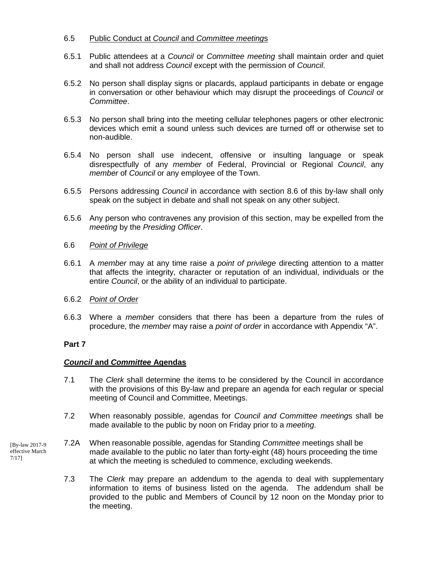## 6.5 Public Conduct at *Council* and *Committee meeting*s

- 6.5.1 Public attendees at a *Council* or *Committee meeting* shall maintain order and quiet and shall not address *Council* except with the permission of *Council*.
- 6.5.2 No person shall display signs or placards, applaud participants in debate or engage in conversation or other behaviour which may disrupt the proceedings of *Council* or *Committee*.
- 6.5.3 No person shall bring into the meeting cellular telephones pagers or other electronic devices which emit a sound unless such devices are turned off or otherwise set to non-audible.
- 6.5.4 No person shall use indecent, offensive or insulting language or speak disrespectfully of any *member* of Federal, Provincial or Regional *Council*, any *member* of *Council* or any employee of the Town.
- 6.5.5 Persons addressing *Council* in accordance with section 8.6 of this by-law shall only speak on the subject in debate and shall not speak on any other subject.
- 6.5.6 Any person who contravenes any provision of this section, may be expelled from the *meeting* by the *Presiding Officer*.

#### 6.6 *Point of Privilege*

- 6.6.1 A *member* may at any time raise a *point of privilege* directing attention to a matter that affects the integrity, character or reputation of an individual, individuals or the entire *Council*, or the ability of an individual to participate.
- 6.6.2 *Point of Order*
- 6.6.3 Where a *member* considers that there has been a departure from the rules of procedure, the *member* may raise a *point of order* in accordance with Appendix "A".

## **Part 7**

#### *Council* **and** *Committee* **Agendas**

- 7.1 The *Clerk* shall determine the items to be considered by the Council in accordance with the provisions of this By-law and prepare an agenda for each regular or special meeting of Council and Committee, Meetings.
- 7.2 When reasonably possible, agendas for *Council and Committee meeting*s shall be made available to the public by noon on Friday prior to a *meeting*.
- 7.2A When reasonable possible, agendas for Standing *Committee* meetings shall be made available to the public no later than forty-eight (48) hours proceeding the time at which the meeting is scheduled to commence, excluding weekends.
	- 7.3 The *Clerk* may prepare an addendum to the agenda to deal with supplementary information to items of business listed on the agenda. The addendum shall be provided to the public and Members of Council by 12 noon on the Monday prior to the meeting.

[By-law 2017-9 effective March 7/17]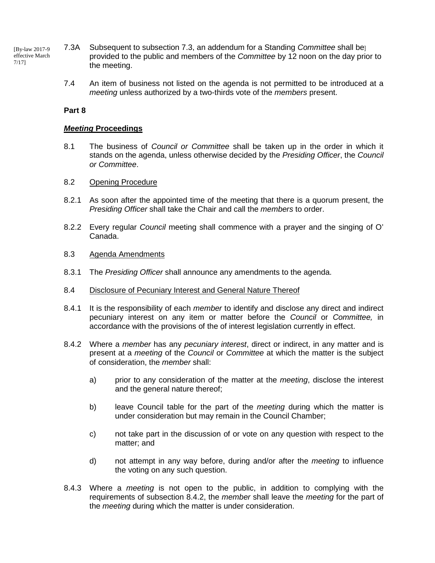- 7.3A Subsequent to subsection 7.3, an addendum for a Standing *Committee* shall be] provided to the public and members of the *Committee* by 12 noon on the day prior to the meeting. [By-law 2017-9 effective March 7/17]
	- 7.4 An item of business not listed on the agenda is not permitted to be introduced at a *meeting* unless authorized by a two-thirds vote of the *members* present.

#### *Meeting* **Proceedings**

8.1 The business of *Council or Committee* shall be taken up in the order in which it stands on the agenda, unless otherwise decided by the *Presiding Officer*, the *Council or Committee*.

#### 8.2 Opening Procedure

- 8.2.1 As soon after the appointed time of the meeting that there is a quorum present, the *Presiding Officer* shall take the Chair and call the *members* to order.
- 8.2.2 Every regular *Council* meeting shall commence with a prayer and the singing of O' Canada.

#### 8.3 Agenda Amendments

- 8.3.1 The *Presiding Officer* shall announce any amendments to the agenda.
- 8.4 Disclosure of Pecuniary Interest and General Nature Thereof
- 8.4.1 It is the responsibility of each *member* to identify and disclose any direct and indirect pecuniary interest on any item or matter before the *Council* or *Committee,* in accordance with the provisions of the of interest legislation currently in effect.
- 8.4.2 Where a *member* has any *pecuniary interest*, direct or indirect, in any matter and is present at a *meeting* of the *Council* or *Committee* at which the matter is the subject of consideration, the *member* shall:
	- a) prior to any consideration of the matter at the *meeting*, disclose the interest and the general nature thereof;
	- b) leave Council table for the part of the *meeting* during which the matter is under consideration but may remain in the Council Chamber;
	- c) not take part in the discussion of or vote on any question with respect to the matter; and
	- d) not attempt in any way before, during and/or after the *meeting* to influence the voting on any such question.
- 8.4.3 Where a *meeting* is not open to the public, in addition to complying with the requirements of subsection 8.4.2, the *member* shall leave the *meeting* for the part of the *meeting* during which the matter is under consideration.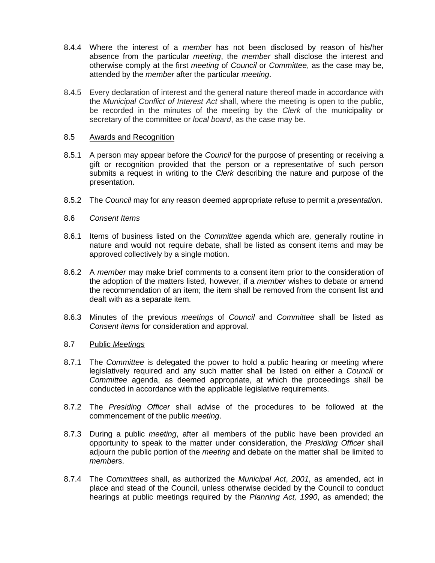- 8.4.4 Where the interest of a *member* has not been disclosed by reason of his/her absence from the particular *meeting*, the *member* shall disclose the interest and otherwise comply at the first *meeting* of *Council* or *Committee*, as the case may be, attended by the *member* after the particular *meeting*.
- 8.4.5 Every declaration of interest and the general nature thereof made in accordance with the *Municipal Conflict of Interest Act* shall, where the meeting is open to the public, be recorded in the minutes of the meeting by the *Clerk* of the municipality or secretary of the committee or *local board*, as the case may be.

#### 8.5 Awards and Recognition

- 8.5.1 A person may appear before the *Council* for the purpose of presenting or receiving a gift or recognition provided that the person or a representative of such person submits a request in writing to the *Clerk* describing the nature and purpose of the presentation.
- 8.5.2 The *Council* may for any reason deemed appropriate refuse to permit a *presentation*.

#### 8.6 *Consent Items*

- 8.6.1 Items of business listed on the *Committee* agenda which are*,* generally routine in nature and would not require debate, shall be listed as consent items and may be approved collectively by a single motion.
- 8.6.2 A *member* may make brief comments to a consent item prior to the consideration of the adoption of the matters listed, however, if a *member* wishes to debate or amend the recommendation of an item; the item shall be removed from the consent list and dealt with as a separate item.
- 8.6.3 Minutes of the previous *meetings* of *Council* and *Committee* shall be listed as *Consent items* for consideration and approval.

#### 8.7 Public *Meetings*

- 8.7.1 The *Committee* is delegated the power to hold a public hearing or meeting where legislatively required and any such matter shall be listed on either a *Council* or *Committee* agenda, as deemed appropriate, at which the proceedings shall be conducted in accordance with the applicable legislative requirements.
- 8.7.2 The *Presiding Officer* shall advise of the procedures to be followed at the commencement of the public *meeting*.
- 8.7.3 During a public *meeting*, after all members of the public have been provided an opportunity to speak to the matter under consideration, the *Presiding Officer* shall adjourn the public portion of the *meeting* and debate on the matter shall be limited to *member*s.
- 8.7.4 The *Committees* shall, as authorized the *Municipal Act*, *2001*, as amended, act in place and stead of the Council, unless otherwise decided by the Council to conduct hearings at public meetings required by the *Planning Act, 1990*, as amended; the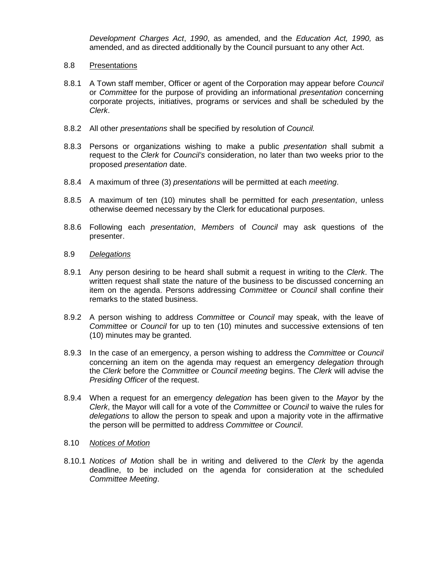*Development Charges Act*, *1990*, as amended, and the *Education Act, 1990,* as amended, and as directed additionally by the Council pursuant to any other Act.

#### 8.8 Presentations

- 8.8.1 A Town staff member, Officer or agent of the Corporation may appear before *Council*  or *Committee* for the purpose of providing an informational *presentation* concerning corporate projects, initiatives, programs or services and shall be scheduled by the *Clerk*.
- 8.8.2 All other *presentations* shall be specified by resolution of *Council.*
- 8.8.3 Persons or organizations wishing to make a public *presentation* shall submit a request to the *Clerk* for *Council's* consideration, no later than two weeks prior to the proposed *presentation* date.
- 8.8.4 A maximum of three (3) *presentations* will be permitted at each *meeting*.
- 8.8.5 A maximum of ten (10) minutes shall be permitted for each *presentation*, unless otherwise deemed necessary by the Clerk for educational purposes.
- 8.8.6 Following each *presentation*, *Members* of *Council* may ask questions of the presenter.

## 8.9 *Delegations*

- 8.9.1 Any person desiring to be heard shall submit a request in writing to the *Clerk*. The written request shall state the nature of the business to be discussed concerning an item on the agenda. Persons addressing *Committee* or *Council* shall confine their remarks to the stated business.
- 8.9.2 A person wishing to address *Committee* or *Council* may speak, with the leave of *Committee* or *Council* for up to ten (10) minutes and successive extensions of ten (10) minutes may be granted.
- 8.9.3 In the case of an emergency, a person wishing to address the *Committee* or *Council*  concerning an item on the agenda may request an emergency *delegation* through the *Clerk* before the *Committee* or *Council meeting* begins. The *Clerk* will advise the *Presiding Officer* of the request.
- 8.9.4 When a request for an emergency *delegation* has been given to the *Mayor* by the *Clerk*, the Mayor will call for a vote of the *Committee* or *Council* to waive the rules for *delegations* to allow the person to speak and upon a majority vote in the affirmative the person will be permitted to address *Committee* or *Council*.

#### 8.10 *Notices of Motion*

8.10.1 *Notices of Motio*n shall be in writing and delivered to the *Clerk* by the agenda deadline, to be included on the agenda for consideration at the scheduled *Committee Meeting*.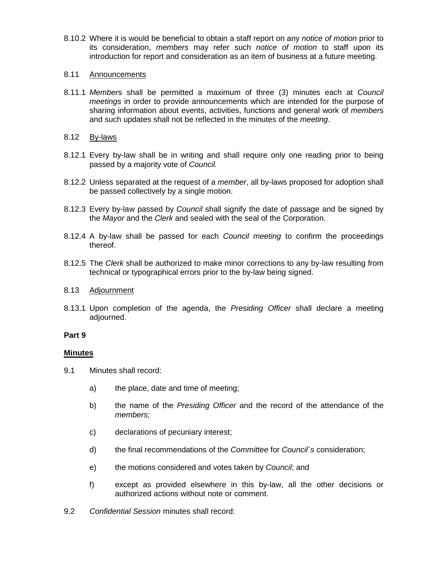8.10.2 Where it is would be beneficial to obtain a staff report on any *notice of motion* prior to its consideration, *members* may refer such *notice of motion* to staff upon its introduction for report and consideration as an item of business at a future meeting.

### 8.11 Announcements

8.11.1 *Member*s shall be permitted a maximum of three (3) minutes each at *Council meetings* in order to provide announcements which are intended for the purpose of sharing information about events, activities, functions and general work of *member*s and such updates shall not be reflected in the minutes of the *meeting*.

## 8.12 By-laws

- 8.12.1 Every by-law shall be in writing and shall require only one reading prior to being passed by a majority vote of *Council.*
- 8.12.2 Unless separated at the request of a *member*, all by-laws proposed for adoption shall be passed collectively by a single motion.
- 8.12.3 Every by-law passed by *Council* shall signify the date of passage and be signed by the *Mayor* and the *Clerk* and sealed with the seal of the Corporation.
- 8.12.4 A by-law shall be passed for each *Council meeting* to confirm the proceedings thereof.
- 8.12.5 The *Clerk* shall be authorized to make minor corrections to any by-law resulting from technical or typographical errors prior to the by-law being signed.

#### 8.13 Adjournment

8.13.1 Upon completion of the agenda, the *Presiding Officer* shall declare a meeting adjourned.

#### **Part 9**

#### **Minutes**

- 9.1 Minutes shall record:
	- a) the place, date and time of meeting;
	- b) the name of the *Presiding Officer* and the record of the attendance of the *members*;
	- c) declarations of pecuniary interest;
	- d) the final recommendations of the *Committee* for *Council`s* consideration;
	- e) the motions considered and votes taken by *Council*; and
	- f) except as provided elsewhere in this by-law, all the other decisions or authorized actions without note or comment.
- 9.2 *Confidential Session* minutes shall record: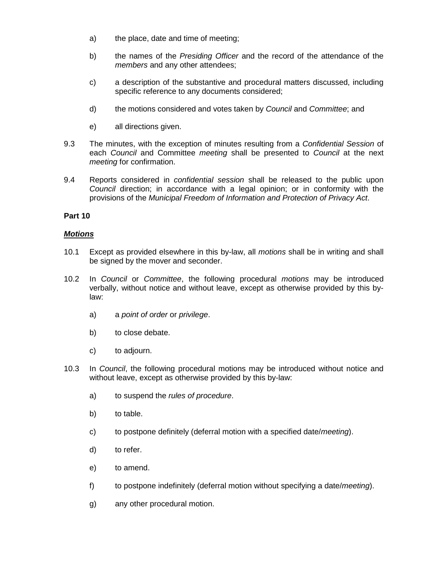- a) the place, date and time of meeting;
- b) the names of the *Presiding Officer* and the record of the attendance of the *members* and any other attendees;
- c) a description of the substantive and procedural matters discussed, including specific reference to any documents considered;
- d) the motions considered and votes taken by *Council* and *Committee*; and
- e) all directions given.
- 9.3 The minutes, with the exception of minutes resulting from a *Confidential Session* of each *Council* and Committee *meeting* shall be presented to *Council* at the next *meeting* for confirmation.
- 9.4 Reports considered in *confidential session* shall be released to the public upon *Council* direction; in accordance with a legal opinion; or in conformity with the provisions of the *Municipal Freedom of Information and Protection of Privacy Act*.

## *Motions*

- 10.1 Except as provided elsewhere in this by-law, all *motions* shall be in writing and shall be signed by the mover and seconder.
- 10.2 In *Council* or *Committee*, the following procedural *motions* may be introduced verbally, without notice and without leave, except as otherwise provided by this bylaw:
	- a) a *point of order* or *privilege*.
	- b) to close debate.
	- c) to adjourn.
- 10.3 In *Council*, the following procedural motions may be introduced without notice and without leave, except as otherwise provided by this by-law:
	- a) to suspend the *rules of procedure*.
	- b) to table.
	- c) to postpone definitely (deferral motion with a specified date/*meeting*).
	- d) to refer.
	- e) to amend.
	- f) to postpone indefinitely (deferral motion without specifying a date/*meeting*).
	- g) any other procedural motion.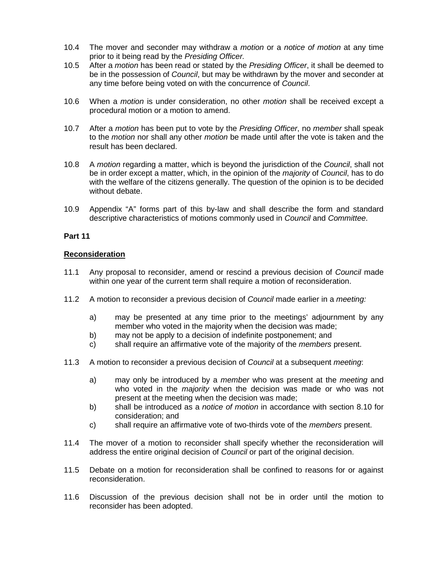- 10.4 The mover and seconder may withdraw a *motion* or a *notice of motion* at any time prior to it being read by the *Presiding Officer.*
- 10.5 After a *motion* has been read or stated by the *Presiding Officer*, it shall be deemed to be in the possession of *Council*, but may be withdrawn by the mover and seconder at any time before being voted on with the concurrence of *Council*.
- 10.6 When a *motion* is under consideration, no other *motion* shall be received except a procedural motion or a motion to amend.
- 10.7 After a *motion* has been put to vote by the *Presiding Officer*, no *member* shall speak to the *motion* nor shall any other *motion* be made until after the vote is taken and the result has been declared.
- 10.8 A *motion* regarding a matter, which is beyond the jurisdiction of the *Council*, shall not be in order except a matter, which, in the opinion of the *majority* of *Council*, has to do with the welfare of the citizens generally. The question of the opinion is to be decided without debate.
- 10.9 Appendix "A" forms part of this by-law and shall describe the form and standard descriptive characteristics of motions commonly used in *Council* and *Committee*.

## **Reconsideration**

- 11.1 Any proposal to reconsider, amend or rescind a previous decision of *Council* made within one year of the current term shall require a motion of reconsideration.
- 11.2 A motion to reconsider a previous decision of *Council* made earlier in a *meeting:*
	- a) may be presented at any time prior to the meetings' adjournment by any member who voted in the majority when the decision was made;
	- b) may not be apply to a decision of indefinite postponement; and
	- c) shall require an affirmative vote of the majority of the *members* present.
- 11.3 A motion to reconsider a previous decision of *Council* at a subsequent *meeting*:
	- a) may only be introduced by a *member* who was present at the *meeting* and who voted in the *majority* when the decision was made or who was not present at the meeting when the decision was made;
	- b) shall be introduced as a *notice of motion* in accordance with section 8.10 for consideration; and
	- c) shall require an affirmative vote of two-thirds vote of the *members* present.
- 11.4 The mover of a motion to reconsider shall specify whether the reconsideration will address the entire original decision of *Council* or part of the original decision.
- 11.5 Debate on a motion for reconsideration shall be confined to reasons for or against reconsideration.
- 11.6 Discussion of the previous decision shall not be in order until the motion to reconsider has been adopted.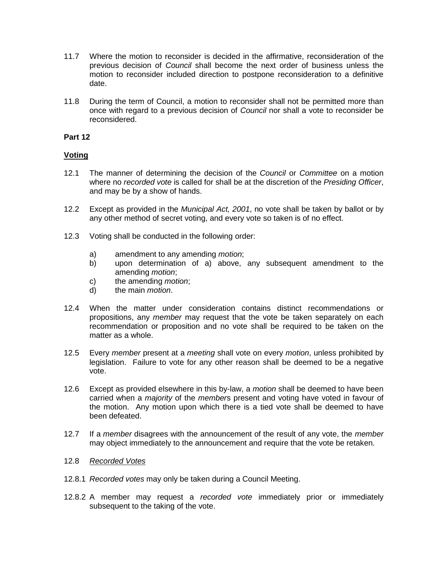- 11.7 Where the motion to reconsider is decided in the affirmative, reconsideration of the previous decision of *Council* shall become the next order of business unless the motion to reconsider included direction to postpone reconsideration to a definitive date.
- 11.8 During the term of Council, a motion to reconsider shall not be permitted more than once with regard to a previous decision of *Council* nor shall a vote to reconsider be reconsidered.

## **Voting**

- 12.1 The manner of determining the decision of the *Council* or *Committee* on a motion where no *recorded vote* is called for shall be at the discretion of the *Presiding Officer*, and may be by a show of hands.
- 12.2 Except as provided in the *Municipal Act, 2001*, no vote shall be taken by ballot or by any other method of secret voting, and every vote so taken is of no effect.
- 12.3 Voting shall be conducted in the following order:
	- a) amendment to any amending *motion*;
	- b) upon determination of a) above, any subsequent amendment to the amending *motion*;
	- c) the amending *motion*;
	- d) the main *motion*.
- 12.4 When the matter under consideration contains distinct recommendations or propositions, any *member* may request that the vote be taken separately on each recommendation or proposition and no vote shall be required to be taken on the matter as a whole.
- 12.5 Every *member* present at a *meeting* shall vote on every *motion*, unless prohibited by legislation. Failure to vote for any other reason shall be deemed to be a negative vote.
- 12.6 Except as provided elsewhere in this by-law, a *motion* shall be deemed to have been carried when a *majority* of the *member*s present and voting have voted in favour of the motion. Any motion upon which there is a tied vote shall be deemed to have been defeated.
- 12.7 If a *member* disagrees with the announcement of the result of any vote, the *member* may object immediately to the announcement and require that the vote be retaken.
- 12.8 *Recorded Votes*
- 12.8.1 *Recorded votes* may only be taken during a Council Meeting.
- 12.8.2 A member may request a *recorded vote* immediately prior or immediately subsequent to the taking of the vote.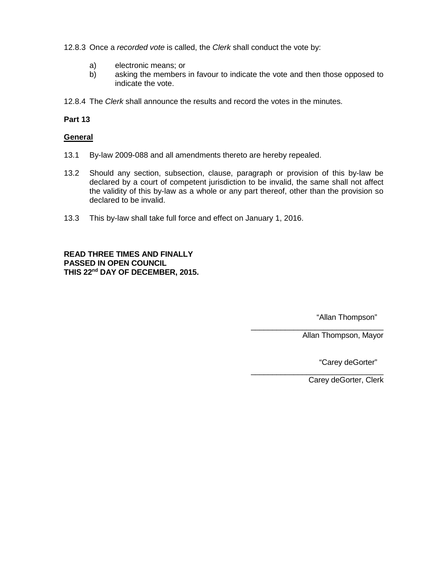12.8.3 Once a *recorded vote* is called, the *Clerk* shall conduct the vote by:

- a) electronic means; or
- b) asking the members in favour to indicate the vote and then those opposed to indicate the vote.
- 12.8.4 The *Clerk* shall announce the results and record the votes in the minutes.

#### **Part 13**

#### **General**

- 13.1 By-law 2009-088 and all amendments thereto are hereby repealed.
- 13.2 Should any section, subsection, clause, paragraph or provision of this by-law be declared by a court of competent jurisdiction to be invalid, the same shall not affect the validity of this by-law as a whole or any part thereof, other than the provision so declared to be invalid.
- 13.3 This by-law shall take full force and effect on January 1, 2016.

**READ THREE TIMES AND FINALLY PASSED IN OPEN COUNCIL THIS 22nd DAY OF DECEMBER, 2015.**

"Allan Thompson"

Allan Thompson, Mayor

"Carey deGorter"

Carey deGorter, Clerk

\_\_\_\_\_\_\_\_\_\_\_\_\_\_\_\_\_\_\_\_\_\_\_\_\_\_\_\_\_\_\_

\_\_\_\_\_\_\_\_\_\_\_\_\_\_\_\_\_\_\_\_\_\_\_\_\_\_\_\_\_\_\_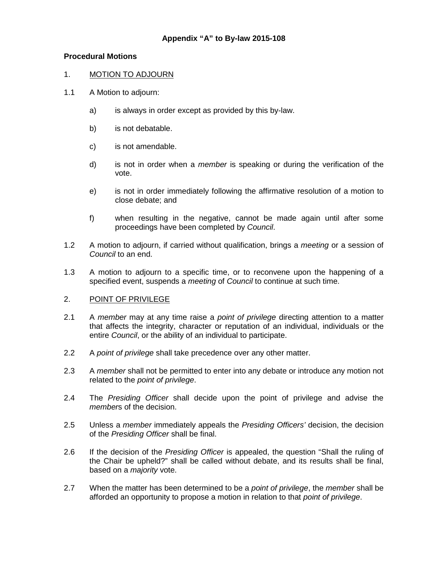## **Procedural Motions**

## 1. MOTION TO ADJOURN

- 1.1 A Motion to adjourn:
	- a) is always in order except as provided by this by-law.
	- b) is not debatable.
	- c) is not amendable.
	- d) is not in order when a *member* is speaking or during the verification of the vote.
	- e) is not in order immediately following the affirmative resolution of a motion to close debate; and
	- f) when resulting in the negative, cannot be made again until after some proceedings have been completed by *Council*.
- 1.2 A motion to adjourn, if carried without qualification, brings a *meeting* or a session of *Council* to an end.
- 1.3 A motion to adjourn to a specific time, or to reconvene upon the happening of a specified event, suspends a *meeting* of *Council* to continue at such time.

## 2. POINT OF PRIVILEGE

- 2.1 A *member* may at any time raise a *point of privilege* directing attention to a matter that affects the integrity, character or reputation of an individual, individuals or the entire *Council*, or the ability of an individual to participate.
- 2.2 A *point of privilege* shall take precedence over any other matter.
- 2.3 A *member* shall not be permitted to enter into any debate or introduce any motion not related to the *point of privilege*.
- 2.4 The *Presiding Officer* shall decide upon the point of privilege and advise the *member*s of the decision.
- 2.5 Unless a *member* immediately appeals the *Presiding Officers'* decision, the decision of the *Presiding Officer* shall be final.
- 2.6 If the decision of the *Presiding Officer* is appealed, the question "Shall the ruling of the Chair be upheld?" shall be called without debate, and its results shall be final, based on a *majority* vote.
- 2.7 When the matter has been determined to be a *point of privilege*, the *member* shall be afforded an opportunity to propose a motion in relation to that *point of privilege*.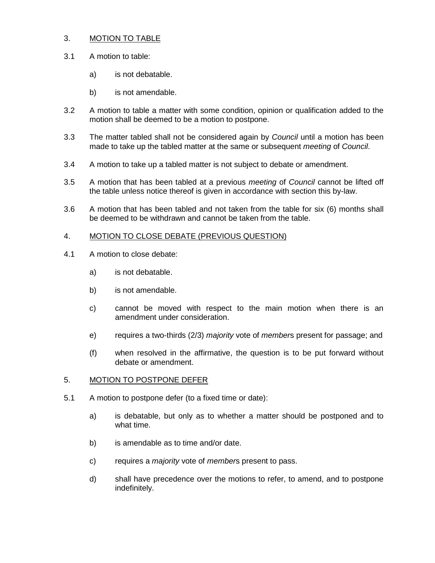## 3. MOTION TO TABLE

- 3.1 A motion to table:
	- a) is not debatable.
	- b) is not amendable.
- 3.2 A motion to table a matter with some condition, opinion or qualification added to the motion shall be deemed to be a motion to postpone.
- 3.3 The matter tabled shall not be considered again by *Council* until a motion has been made to take up the tabled matter at the same or subsequent *meeting* of *Council*.
- 3.4 A motion to take up a tabled matter is not subject to debate or amendment.
- 3.5 A motion that has been tabled at a previous *meeting* of *Council* cannot be lifted off the table unless notice thereof is given in accordance with section this by-law.
- 3.6 A motion that has been tabled and not taken from the table for six (6) months shall be deemed to be withdrawn and cannot be taken from the table.

## 4. MOTION TO CLOSE DEBATE (PREVIOUS QUESTION)

- 4.1 A motion to close debate:
	- a) is not debatable.
	- b) is not amendable.
	- c) cannot be moved with respect to the main motion when there is an amendment under consideration.
	- e) requires a two-thirds (2/3) *majority* vote of *member*s present for passage; and
	- (f) when resolved in the affirmative, the question is to be put forward without debate or amendment.

#### 5. MOTION TO POSTPONE DEFER

- 5.1 A motion to postpone defer (to a fixed time or date):
	- a) is debatable, but only as to whether a matter should be postponed and to what time.
	- b) is amendable as to time and/or date.
	- c) requires a *majority* vote of *member*s present to pass.
	- d) shall have precedence over the motions to refer, to amend, and to postpone indefinitely.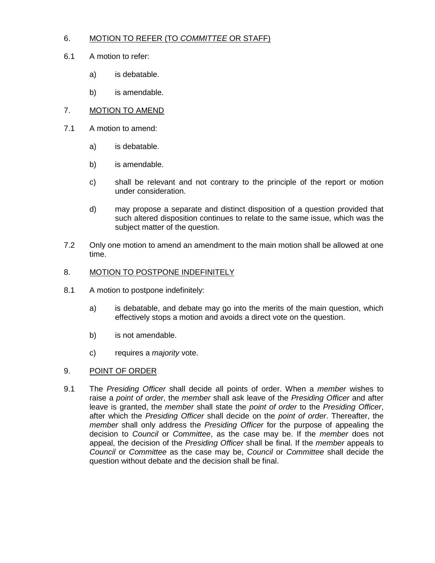# 6. MOTION TO REFER (TO *COMMITTEE* OR STAFF)

- 6.1 A motion to refer:
	- a) is debatable.
	- b) is amendable.
- 7. MOTION TO AMEND
- 7.1 A motion to amend:
	- a) is debatable.
	- b) is amendable.
	- c) shall be relevant and not contrary to the principle of the report or motion under consideration.
	- d) may propose a separate and distinct disposition of a question provided that such altered disposition continues to relate to the same issue, which was the subject matter of the question.
- 7.2 Only one motion to amend an amendment to the main motion shall be allowed at one time.

## 8. MOTION TO POSTPONE INDEFINITELY

- 8.1 A motion to postpone indefinitely:
	- a) is debatable, and debate may go into the merits of the main question, which effectively stops a motion and avoids a direct vote on the question.
	- b) is not amendable.
	- c) requires a *majority* vote.

#### 9. POINT OF ORDER

9.1 The *Presiding Officer* shall decide all points of order. When a *member* wishes to raise a *point of order*, the *member* shall ask leave of the *Presiding Officer* and after leave is granted, the *member* shall state the *point of order* to the *Presiding Officer*, after which the *Presiding Officer* shall decide on the *point of order*. Thereafter, the *member* shall only address the *Presiding Officer* for the purpose of appealing the decision to *Council* or *Committee*, as the case may be. If the *member* does not appeal, the decision of the *Presiding Officer* shall be final. If the *member* appeals to *Council* or *Committee* as the case may be, *Council* or *Committee* shall decide the question without debate and the decision shall be final.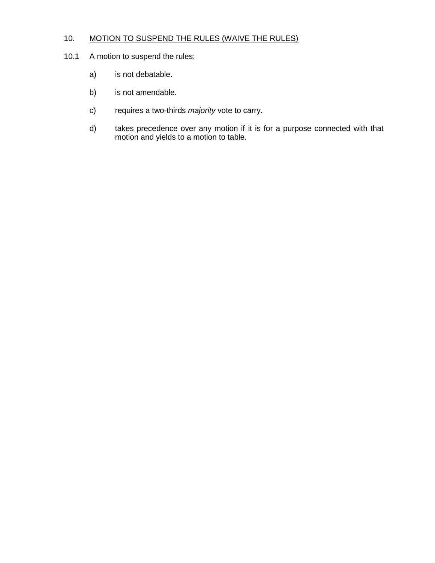# 10. MOTION TO SUSPEND THE RULES (WAIVE THE RULES)

- 10.1 A motion to suspend the rules:
	- a) is not debatable.
	- b) is not amendable.
	- c) requires a two-thirds *majority* vote to carry.
	- d) takes precedence over any motion if it is for a purpose connected with that motion and yields to a motion to table.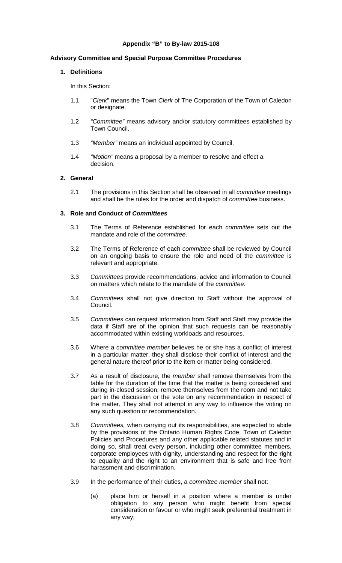# **Appendix "B" to By-law 2015-108**

## **Advisory Committee and Special Purpose Committee Procedures**

## **1. Definitions**

In this Section:

- 1.1 "*Clerk*" means the Town *Clerk* of The Corporation of the Town of Caledon or designate.
- 1.2 *"Committee"* means advisory and/or statutory committees established by Town Council.
- 1.3 *"Member"* means an individual appointed by Council.
- 1.4 *"Motion"* means a proposal by a member to resolve and effect a decision.

## **2. General**

2.1 The provisions in this Section shall be observed in all *committee* meetings and shall be the rules for the order and dispatch of *committee* business.

## **3. Role and Conduct of** *Committees*

- 3.1 The Terms of Reference established for each *committee* sets out the mandate and role of the *committee*.
- 3.2 The Terms of Reference of each *committee* shall be reviewed by Council on an ongoing basis to ensure the role and need of the *committee* is relevant and appropriate.
- 3.3 *Committees* provide recommendations, advice and information to Council on matters which relate to the mandate of the *committee*.
- 3.4 *Committees* shall not give direction to Staff without the approval of Council.
- 3.5 *Committees* can request information from Staff and Staff may provide the data if Staff are of the opinion that such requests can be reasonably accommodated within existing workloads and resources.
- 3.6 Where a *committee member* believes he or she has a conflict of interest in a particular matter, they shall disclose their conflict of interest and the general nature thereof prior to the item or matter being considered.
- 3.7 As a result of disclosure, the *member* shall remove themselves from the table for the duration of the time that the matter is being considered and during in-closed session, remove themselves from the room and not take part in the discussion or the vote on any recommendation in respect of the matter. They shall not attempt in any way to influence the voting on any such question or recommendation.
- 3.8 *Committees,* when carrying out its responsibilities, are expected to abide by the provisions of the Ontario Human Rights Code, Town of Caledon Policies and Procedures and any other applicable related statutes and in doing so, shall treat every person, including other committee members, corporate employees with dignity, understanding and respect for the right to equality and the right to an environment that is safe and free from harassment and discrimination.
- 3.9 In the performance of their duties, a *committee member* shall not:
	- (a) place him or herself in a position where a member is under obligation to any person who might benefit from special consideration or favour or who might seek preferential treatment in any way;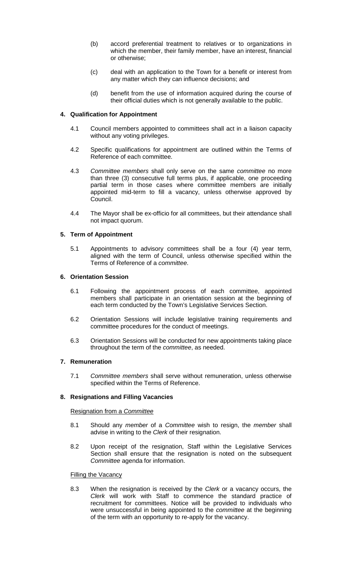- (b) accord preferential treatment to relatives or to organizations in which the member, their family member, have an interest, financial or otherwise;
- (c) deal with an application to the Town for a benefit or interest from any matter which they can influence decisions; and
- (d) benefit from the use of information acquired during the course of their official duties which is not generally available to the public.

## **4. Qualification for Appointment**

- 4.1 Council members appointed to committees shall act in a liaison capacity without any voting privileges.
- 4.2 Specific qualifications for appointment are outlined within the Terms of Reference of each committee.
- 4.3 *Committee members* shall only serve on the same *committee* no more than three (3) consecutive full terms plus, if applicable, one proceeding partial term in those cases where committee members are initially appointed mid-term to fill a vacancy, unless otherwise approved by Council.
- 4.4 The Mayor shall be ex-officio for all committees, but their attendance shall not impact quorum.

## **5. Term of Appointment**

5.1 Appointments to advisory committees shall be a four (4) year term, aligned with the term of Council, unless otherwise specified within the Terms of Reference of a *committee*.

## **6. Orientation Session**

- 6.1 Following the appointment process of each committee, appointed members shall participate in an orientation session at the beginning of each term conducted by the Town's Legislative Services Section.
- 6.2 Orientation Sessions will include legislative training requirements and committee procedures for the conduct of meetings.
- 6.3 Orientation Sessions will be conducted for new appointments taking place throughout the term of the *committee*, as needed.

## **7. Remuneration**

7.1 *Committee members* shall serve without remuneration, unless otherwise specified within the Terms of Reference.

## **8. Resignations and Filling Vacancies**

## Resignation from a *Committee*

- 8.1 Should any *member* of a *Committee* wish to resign, the *member* shall advise in writing to the *Clerk* of their resignation.
- 8.2 Upon receipt of the resignation, Staff within the Legislative Services Section shall ensure that the resignation is noted on the subsequent *Committee* agenda for information.

#### **Filling the Vacancy**

8.3 When the resignation is received by the *Clerk* or a vacancy occurs, the *Clerk* will work with Staff to commence the standard practice of recruitment for committees. Notice will be provided to individuals who were unsuccessful in being appointed to the *committee* at the beginning of the term with an opportunity to re-apply for the vacancy.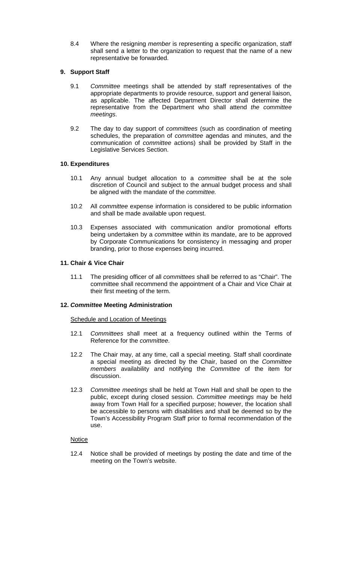8.4 Where the resigning *member* is representing a specific organization, staff shall send a letter to the organization to request that the name of a new representative be forwarded.

# **9. Support Staff**

- 9.1 *Committee* meetings shall be attended by staff representatives of the appropriate departments to provide resource, support and general liaison, as applicable. The affected Department Director shall determine the representative from the Department who shall attend *the committee meetings*.
- 9.2 The day to day support of *committees* (such as coordination of meeting schedules, the preparation of *committee* agendas and minutes, and the communication of *committee* actions) shall be provided by Staff in the Legislative Services Section.

## **10. Expenditures**

- 10.1 Any annual budget allocation to a *committee* shall be at the sole discretion of Council and subject to the annual budget process and shall be aligned with the mandate of the *committee.*
- 10.2 All *committee* expense information is considered to be public information and shall be made available upon request.
- 10.3 Expenses associated with communication and/or promotional efforts being undertaken by a *committee* within its mandate, are to be approved by Corporate Communications for consistency in messaging and proper branding, prior to those expenses being incurred.

## **11. Chair & Vice Chair**

11.1 The presiding officer of all *committees* shall be referred to as "Chair". The committee shall recommend the appointment of a Chair and Vice Chair at their first meeting of the term.

## **12.** *Committee* **Meeting Administration**

## **Schedule and Location of Meetings**

- 12.1 *Committees* shall meet at a frequency outlined within the Terms of Reference for the *committee*.
- 12.2 The Chair may, at any time, call a special meeting. Staff shall coordinate a special meeting as directed by the Chair, based on the *Committee members* availability and notifying the *Committee* of the item for discussion.
- 12.3 *Committee meetings* shall be held at Town Hall and shall be open to the public, except during closed session. *Committee meetings* may be held away from Town Hall for a specified purpose; however, the location shall be accessible to persons with disabilities and shall be deemed so by the Town's Accessibility Program Staff prior to formal recommendation of the use.

## **Notice**

12.4 Notice shall be provided of meetings by posting the date and time of the meeting on the Town's website.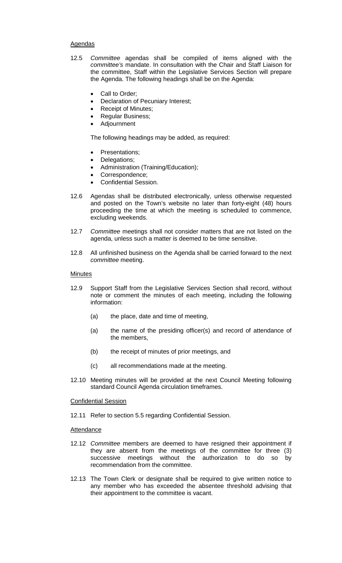## Agendas

- 12.5 *Committee* agendas shall be compiled of items aligned with the *committee's* mandate. In consultation with the Chair and Staff Liaison for the committee, Staff within the Legislative Services Section will prepare the Agenda. The following headings shall be on the Agenda:
	- Call to Order;
	- Declaration of Pecuniary Interest;
	- Receipt of Minutes;
	- Regular Business;
	- Adjournment

The following headings may be added, as required:

- Presentations;
- Delegations;
- Administration (Training/Education);
- Correspondence;
- Confidential Session.
- 12.6 Agendas shall be distributed electronically, unless otherwise requested and posted on the Town's website no later than forty-eight (48) hours proceeding the time at which the meeting is scheduled to commence, excluding weekends.
- 12.7 *Committee* meetings shall not consider matters that are not listed on the agenda, unless such a matter is deemed to be time sensitive.
- 12.8 All unfinished business on the Agenda shall be carried forward to the next *committee* meeting.

## **Minutes**

- 12.9 Support Staff from the Legislative Services Section shall record, without note or comment the minutes of each meeting, including the following information:
	- (a) the place, date and time of meeting,
	- (a) the name of the presiding officer(s) and record of attendance of the members,
	- (b) the receipt of minutes of prior meetings, and
	- (c) all recommendations made at the meeting.
- 12.10 Meeting minutes will be provided at the next Council Meeting following standard Council Agenda circulation timeframes.

#### Confidential Session

12.11 Refer to section 5.5 regarding Confidential Session.

#### **Attendance**

- 12.12 *Committee* members are deemed to have resigned their appointment if they are absent from the meetings of the committee for three (3) successive meetings without the authorization to do so by recommendation from the committee.
- 12.13 The Town Clerk or designate shall be required to give written notice to any member who has exceeded the absentee threshold advising that their appointment to the committee is vacant.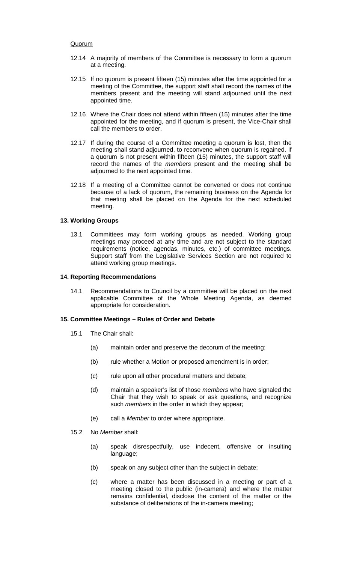## **Quorum**

- 12.14 A majority of members of the Committee is necessary to form a quorum at a meeting.
- 12.15 If no quorum is present fifteen (15) minutes after the time appointed for a meeting of the Committee, the support staff shall record the names of the members present and the meeting will stand adjourned until the next appointed time.
- 12.16 Where the Chair does not attend within fifteen (15) minutes after the time appointed for the meeting, and if quorum is present, the Vice-Chair shall call the members to order.
- 12.17 If during the course of a Committee meeting a quorum is lost, then the meeting shall stand adjourned, to reconvene when quorum is regained. If a quorum is not present within fifteen (15) minutes, the support staff will record the names of the *members* present and the meeting shall be adjourned to the next appointed time.
- 12.18 If a meeting of a Committee cannot be convened or does not continue because of a lack of quorum, the remaining business on the Agenda for that meeting shall be placed on the Agenda for the next scheduled meeting.

## **13. Working Groups**

13.1 Committees may form working groups as needed. Working group meetings may proceed at any time and are not subject to the standard requirements (notice, agendas, minutes, etc.) of committee meetings. Support staff from the Legislative Services Section are not required to attend working group meetings.

## **14. Reporting Recommendations**

14.1 Recommendations to Council by a committee will be placed on the next applicable Committee of the Whole Meeting Agenda, as deemed appropriate for consideration.

# **15. Committee Meetings – Rules of Order and Debate**

- 15.1 The Chair shall:
	- (a) maintain order and preserve the decorum of the meeting;
	- (b) rule whether a Motion or proposed amendment is in order;
	- (c) rule upon all other procedural matters and debate;
	- (d) maintain a speaker's list of those *members* who have signaled the Chair that they wish to speak or ask questions, and recognize such *members* in the order in which they appear;
	- (e) call a *Member* to order where appropriate.
- 15.2 No *Member* shall:
	- (a) speak disrespectfully, use indecent, offensive or insulting language;
	- (b) speak on any subject other than the subject in debate;
	- (c) where a matter has been discussed in a meeting or part of a meeting closed to the public (in-camera) and where the matter remains confidential, disclose the content of the matter or the substance of deliberations of the in-camera meeting;